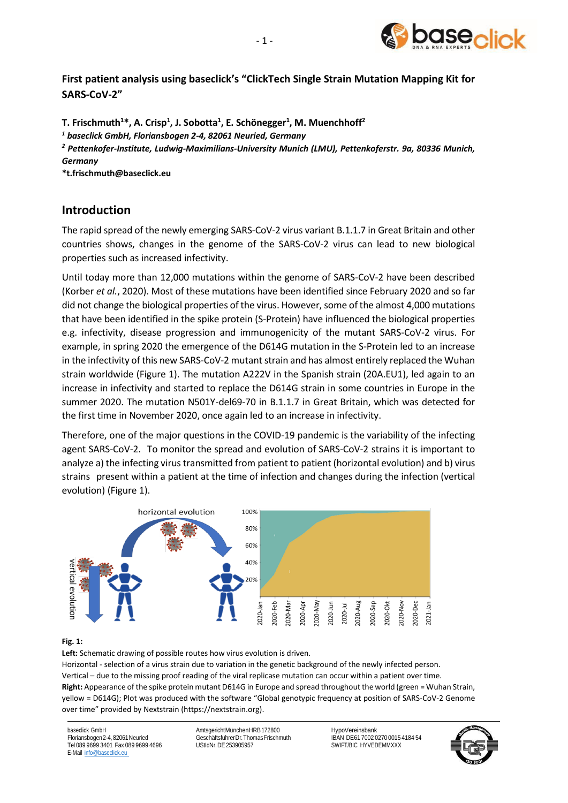

**First patient analysis using baseclick's "ClickTech Single Strain Mutation Mapping Kit for SARS-CoV-2"**

**T. Frischmuth<sup>1</sup>\*, A. Crisp<sup>1</sup> , J. Sobotta<sup>1</sup> , E. Schönegger<sup>1</sup> , M. Muenchhoff<sup>2</sup>**

*<sup>1</sup> baseclick GmbH, Floriansbogen 2-4, 82061 Neuried, Germany*

*<sup>2</sup> Pettenkofer-Institute, Ludwig-Maximilians-University Munich (LMU), Pettenkoferstr. 9a, 80336 Munich, Germany*

**\*t.frischmuth@baseclick.eu**

## **Introduction**

The rapid spread of the newly emerging SARS-CoV-2 virus variant B.1.1.7 in Great Britain and other countries shows, changes in the genome of the SARS-CoV-2 virus can lead to new biological properties such as increased infectivity.

Until today more than 12,000 mutations within the genome of SARS-CoV-2 have been described (Korber *et al.*, 2020). Most of these mutations have been identified since February 2020 and so far did not change the biological properties of the virus. However, some of the almost 4,000 mutations that have been identified in the spike protein (S-Protein) have influenced the biological properties e.g. infectivity, disease progression and immunogenicity of the mutant SARS-CoV-2 virus. For example, in spring 2020 the emergence of the D614G mutation in the S-Protein led to an increase in the infectivity of this new SARS-CoV-2 mutant strain and has almost entirely replaced the Wuhan strain worldwide (Figure 1). The mutation A222V in the Spanish strain (20A.EU1), led again to an increase in infectivity and started to replace the D614G strain in some countries in Europe in the summer 2020. The mutation N501Y-del69-70 in B.1.1.7 in Great Britain, which was detected for the first time in November 2020, once again led to an increase in infectivity.

Therefore, one of the major questions in the COVID-19 pandemic is the variability of the infecting agent SARS-CoV-2. To monitor the spread and evolution of SARS-CoV-2 strains it is important to analyze a) the infecting virus transmitted from patient to patient (horizontal evolution) and b) virus strains present within a patient at the time of infection and changes during the infection (vertical evolution) (Figure 1).



### **Fig. 1:**

**Left:** Schematic drawing of possible routes how virus evolution is driven.

Horizontal - selection of a virus strain due to variation in the genetic background of the newly infected person. Vertical – due to the missing proof reading of the viral replicase mutation can occur within a patient over time. **Right:** Appearance of the spike protein mutant D614G in Europe and spread throughout the world (green = Wuhan Strain, yellow = D614G); Plot was produced with the software "Global genotypic frequency at position of SARS-CoV-2 Genome over time" provided by Nextstrain [\(https://nextstrain.org\)](https://nextstrain.org/).

baseclick GmbH Floriansbogen2-4,82061Neuried Tel 089 9699 3401 Fax 089 9699 4696 E-Mail [info@baseclick.eu](mailto:info@baseclick.eu)

AmtsgerichtMünchenHRB172800 GeschäftsführerDr.ThomasFrischmuth UStIdNr.DE253905957

HypoVereinsbank IBAN DE61 7002 0270 0015 4184 54 SWIFT/BIC HYVEDEMMXXX

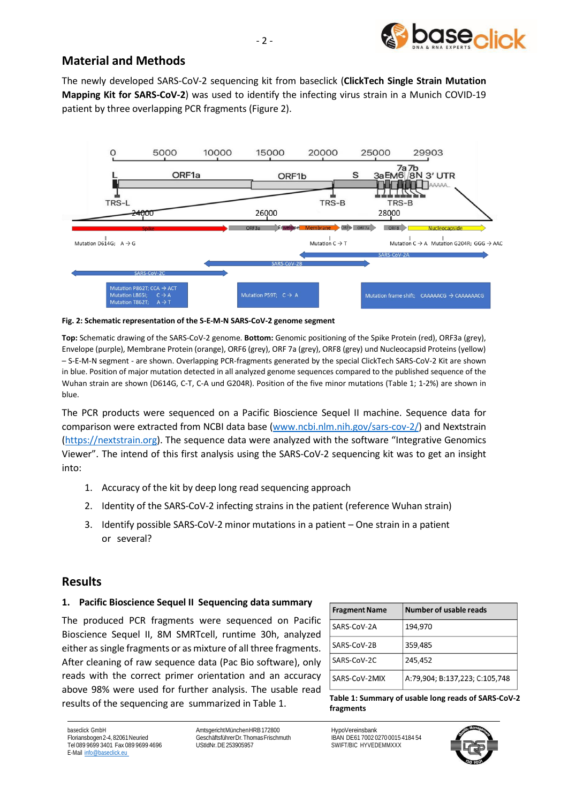

# **Material and Methods**

The newly developed SARS-CoV-2 sequencing kit from baseclick (**ClickTech Single Strain Mutation Mapping Kit for SARS-CoV-2**) was used to identify the infecting virus strain in a Munich COVID-19 patient by three overlapping PCR fragments (Figure 2).



#### **Fig. 2: Schematic representation of the S-E-M-N SARS-CoV-2 genome segment**

**Top:** Schematic drawing of the SARS-CoV-2 genome. **Bottom:** Genomic positioning of the Spike Protein (red), ORF3a (grey), Envelope (purple), Membrane Protein (orange), ORF6 (grey), ORF 7a (grey), ORF8 (grey) und Nucleocapsid Proteins (yellow) – S-E-M-N segment - are shown. Overlapping PCR-fragments generated by the special ClickTech SARS-CoV-2 Kit are shown in blue. Position of major mutation detected in all analyzed genome sequences compared to the published sequence of the Wuhan strain are shown (D614G, C-T, C-A und G204R). Position of the five minor mutations (Table 1; 1-2%) are shown in blue.

The PCR products were sequenced on a Pacific Bioscience Sequel II machine. Sequence data for comparison were extracted from NCBI data base [\(www.ncbi.nlm.nih.gov/sars-cov-2/\)](http://www.ncbi.nlm.nih.gov/sars-cov-2/) and Nextstrain [\(https://nextstrain.org\)](https://nextstrain.org/). The sequence data were analyzed with the software "Integrative Genomics Viewer". The intend of this first analysis using the SARS-CoV-2 sequencing kit was to get an insight into:

- 1. Accuracy of the kit by deep long read sequencing approach
- 2. Identity of the SARS-CoV-2 infecting strains in the patient (reference Wuhan strain)
- 3. Identify possible SARS-CoV-2 minor mutations in a patient One strain in a patient or several?

## **Results**

### **1. Pacific Bioscience Sequel II Sequencing data summary**

The produced PCR fragments were sequenced on Pacific Bioscience Sequel II, 8M SMRTcell, runtime 30h, analyzed either as single fragments or as mixture of all three fragments. After cleaning of raw sequence data (Pac Bio software), only reads with the correct primer orientation and an accuracy above 98% were used for further analysis. The usable read results of the sequencing are summarized in Table 1. **Table 1: Summary of usable long reads of SARS-CoV-2** 

| <b>Fragment Name</b> | Number of usable reads         |
|----------------------|--------------------------------|
| SARS-CoV-2A          | 194,970                        |
| SARS-CoV-2B          | 359,485                        |
| SARS-CoV-2C          | 245,452                        |
| SARS-CoV-2MIX        | A:79,904; B:137,223; C:105,748 |

**fragments**

baseclick GmbH Floriansbogen2-4,82061Neuried Tel 089 9699 3401 Fax 089 9699 4696 E-Mail [info@baseclick.eu](mailto:info@baseclick.eu)

AmtsgerichtMünchenHRB172800 GeschäftsführerDr.ThomasFrischmuth UStIdNr.DE253905957

HypoVereinsbank IBAN DE61 7002 0270 0015 4184 54 SWIFT/BIC HYVEDEMMXXX

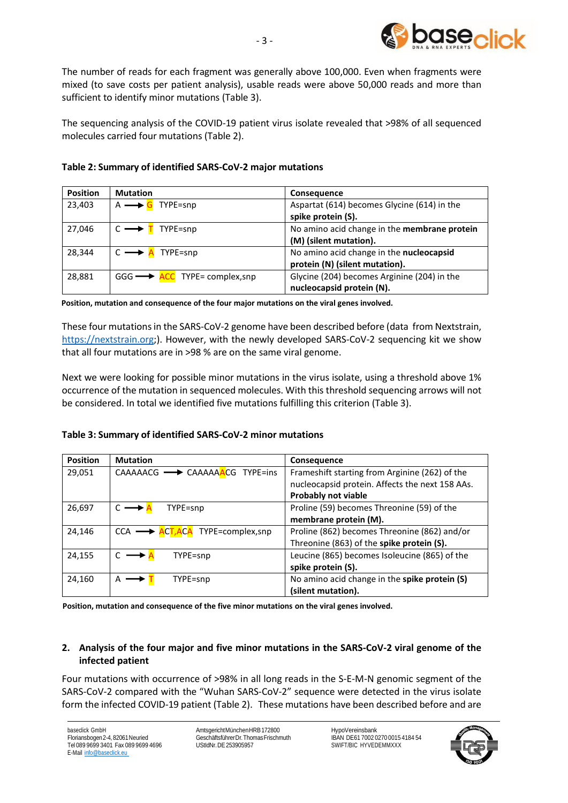

The number of reads for each fragment was generally above 100,000. Even when fragments were mixed (to save costs per patient analysis), usable reads were above 50,000 reads and more than sufficient to identify minor mutations (Table 3).

The sequencing analysis of the COVID-19 patient virus isolate revealed that >98% of all sequenced molecules carried four mutations (Table 2).

## **Table 2: Summary of identified SARS-CoV-2 major mutations**

| <b>Position</b> | <b>Mutation</b>                              | <b>Consequence</b>                           |
|-----------------|----------------------------------------------|----------------------------------------------|
| 23,403          | TYPE=snp                                     | Aspartat (614) becomes Glycine (614) in the  |
|                 |                                              | spike protein (S).                           |
| 27,046          | TYPE=snp                                     | No amino acid change in the membrane protein |
|                 |                                              | (M) (silent mutation).                       |
| 28,344          | TYPE=snp                                     | No amino acid change in the nucleocapsid     |
|                 |                                              | protein (N) (silent mutation).               |
| 28,881          | $GGG \longrightarrow ACC$ TYPE= complex, snp | Glycine (204) becomes Arginine (204) in the  |
|                 |                                              | nucleocapsid protein (N).                    |

**Position, mutation and consequence of the four major mutations on the viral genes involved.** 

These four mutationsin the SARS-CoV-2 genome have been described before (data from Nextstrain, [https://nextstrain.org;\)](https://nextstrain.org/). However, with the newly developed SARS-CoV-2 sequencing kit we show that all four mutations are in >98 % are on the same viral genome.

Next we were looking for possible minor mutations in the virus isolate, using a threshold above 1% occurrence of the mutation in sequenced molecules. With this threshold sequencing arrows will not be considered. In total we identified five mutations fulfilling this criterion (Table 3).

### **Table 3: Summary of identified SARS-CoV-2 minor mutations**

| <b>Position</b> | <b>Mutation</b>                          | Consequence                                     |
|-----------------|------------------------------------------|-------------------------------------------------|
| 29,051          | CAAAAACG <b>-&gt;</b> CAAAAAACG TYPE=ins | Frameshift starting from Arginine (262) of the  |
|                 |                                          | nucleocapsid protein. Affects the next 158 AAs. |
|                 |                                          | <b>Probably not viable</b>                      |
| 26,697          | TYPE=snp                                 | Proline (59) becomes Threonine (59) of the      |
|                 |                                          | membrane protein (M).                           |
| 24,146          | <b>ACT, ACA</b> TYPE=complex, snp<br>CCA | Proline (862) becomes Threonine (862) and/or    |
|                 |                                          | Threonine (863) of the spike protein (S).       |
| 24,155          | TYPE=snp                                 | Leucine (865) becomes Isoleucine (865) of the   |
|                 |                                          | spike protein (S).                              |
| 24,160          | TYPE=snp                                 | No amino acid change in the spike protein (S)   |
|                 |                                          | (silent mutation).                              |

**Position, mutation and consequence of the five minor mutations on the viral genes involved.** 

## **2. Analysis of the four major and five minor mutations in the SARS-CoV-2 viral genome of the infected patient**

Four mutations with occurrence of >98% in all long reads in the S-E-M-N genomic segment of the SARS-CoV-2 compared with the "Wuhan SARS-CoV-2" sequence were detected in the virus isolate form the infected COVID-19 patient (Table 2). These mutations have been described before and are

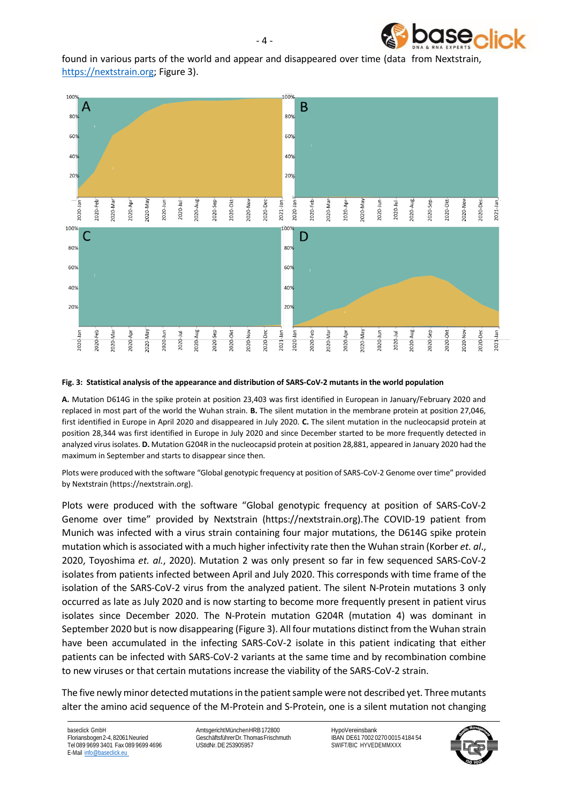

found in various parts of the world and appear and disappeared over time (data from Nextstrain, [https://nextstrain.org;](https://nextstrain.org/) Figure 3).



#### **Fig. 3: Statistical analysis of the appearance and distribution of SARS-CoV-2 mutants in the world population**

**A.** Mutation D614G in the spike protein at position 23,403 was first identified in European in January/February 2020 and replaced in most part of the world the Wuhan strain. **B.** The silent mutation in the membrane protein at position 27,046, first identified in Europe in April 2020 and disappeared in July 2020. **C.** The silent mutation in the nucleocapsid protein at position 28,344 was first identified in Europe in July 2020 and since December started to be more frequently detected in analyzed virus isolates. **D.** Mutation G204R in the nucleocapsid protein at position 28,881, appeared in January 2020 had the maximum in September and starts to disappear since then.

Plots were produced with the software "Global genotypic frequency at position of SARS-CoV-2 Genome over time" provided by Nextstrain [\(https://nextstrain.org\)](https://nextstrain.org/).

Plots were produced with the software "Global genotypic frequency at position of SARS-CoV-2 Genome over time" provided by Nextstrain (https://nextstrain.org).The COVID-19 patient from Munich was infected with a virus strain containing four major mutations, the D614G spike protein mutation which is associated with a much higher infectivity rate then the Wuhan strain (Korber *et. al*., 2020, Toyoshima *et. al.*, 2020). Mutation 2 was only present so far in few sequenced SARS-CoV-2 isolates from patients infected between April and July 2020. This corresponds with time frame of the isolation of the SARS-CoV-2 virus from the analyzed patient. The silent N-Protein mutations 3 only occurred as late as July 2020 and is now starting to become more frequently present in patient virus isolates since December 2020. The N-Protein mutation G204R (mutation 4) was dominant in September 2020 but is now disappearing (Figure 3). All four mutations distinct from the Wuhan strain have been accumulated in the infecting SARS-CoV-2 isolate in this patient indicating that either patients can be infected with SARS-CoV-2 variants at the same time and by recombination combine to new viruses or that certain mutations increase the viability of the SARS-CoV-2 strain.

The five newly minor detected mutations in the patient sample were not described yet. Three mutants alter the amino acid sequence of the M-Protein and S-Protein, one is a silent mutation not changing

baseclick GmbH Floriansbogen2-4,82061Neuried Tel 089 9699 3401 Fax 089 9699 4696 E-Mail [info@baseclick.eu](mailto:info@baseclick.eu)

AmtsgerichtMünchenHRB172800 GeschäftsführerDr.ThomasFrischmuth UStIdNr.DE253905957

HypoVereinsbank IBAN DE61 7002 0270 0015 4184 54 SWIFT/BIC HYVEDEMMXXX